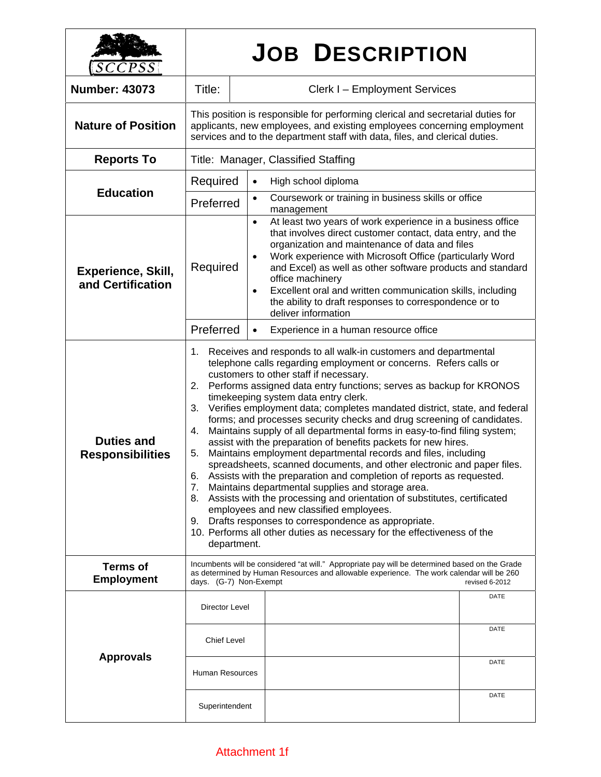| SCCPSS                                         | <b>JOB DESCRIPTION</b>                                                                                                                                                                                                                                                                                                                                                                                                                                                                                                                                                                                                                                                                                                                                                                                                                                                                                                                                                                                                                                                                                                                                                                                    |                                                                                                                                                                                                                                                                                                                                                                                                                                                                                                                |  |
|------------------------------------------------|-----------------------------------------------------------------------------------------------------------------------------------------------------------------------------------------------------------------------------------------------------------------------------------------------------------------------------------------------------------------------------------------------------------------------------------------------------------------------------------------------------------------------------------------------------------------------------------------------------------------------------------------------------------------------------------------------------------------------------------------------------------------------------------------------------------------------------------------------------------------------------------------------------------------------------------------------------------------------------------------------------------------------------------------------------------------------------------------------------------------------------------------------------------------------------------------------------------|----------------------------------------------------------------------------------------------------------------------------------------------------------------------------------------------------------------------------------------------------------------------------------------------------------------------------------------------------------------------------------------------------------------------------------------------------------------------------------------------------------------|--|
| <b>Number: 43073</b>                           | Title:                                                                                                                                                                                                                                                                                                                                                                                                                                                                                                                                                                                                                                                                                                                                                                                                                                                                                                                                                                                                                                                                                                                                                                                                    | Clerk I - Employment Services                                                                                                                                                                                                                                                                                                                                                                                                                                                                                  |  |
| <b>Nature of Position</b>                      | This position is responsible for performing clerical and secretarial duties for<br>applicants, new employees, and existing employees concerning employment<br>services and to the department staff with data, files, and clerical duties.                                                                                                                                                                                                                                                                                                                                                                                                                                                                                                                                                                                                                                                                                                                                                                                                                                                                                                                                                                 |                                                                                                                                                                                                                                                                                                                                                                                                                                                                                                                |  |
| <b>Reports To</b>                              | Title: Manager, Classified Staffing                                                                                                                                                                                                                                                                                                                                                                                                                                                                                                                                                                                                                                                                                                                                                                                                                                                                                                                                                                                                                                                                                                                                                                       |                                                                                                                                                                                                                                                                                                                                                                                                                                                                                                                |  |
| <b>Education</b>                               | Required                                                                                                                                                                                                                                                                                                                                                                                                                                                                                                                                                                                                                                                                                                                                                                                                                                                                                                                                                                                                                                                                                                                                                                                                  | High school diploma<br>$\bullet$                                                                                                                                                                                                                                                                                                                                                                                                                                                                               |  |
|                                                | Preferred                                                                                                                                                                                                                                                                                                                                                                                                                                                                                                                                                                                                                                                                                                                                                                                                                                                                                                                                                                                                                                                                                                                                                                                                 | Coursework or training in business skills or office<br>$\bullet$<br>management                                                                                                                                                                                                                                                                                                                                                                                                                                 |  |
| <b>Experience, Skill,</b><br>and Certification | Required                                                                                                                                                                                                                                                                                                                                                                                                                                                                                                                                                                                                                                                                                                                                                                                                                                                                                                                                                                                                                                                                                                                                                                                                  | At least two years of work experience in a business office<br>$\bullet$<br>that involves direct customer contact, data entry, and the<br>organization and maintenance of data and files<br>Work experience with Microsoft Office (particularly Word<br>$\bullet$<br>and Excel) as well as other software products and standard<br>office machinery<br>Excellent oral and written communication skills, including<br>$\bullet$<br>the ability to draft responses to correspondence or to<br>deliver information |  |
|                                                | Preferred                                                                                                                                                                                                                                                                                                                                                                                                                                                                                                                                                                                                                                                                                                                                                                                                                                                                                                                                                                                                                                                                                                                                                                                                 | Experience in a human resource office<br>$\bullet$                                                                                                                                                                                                                                                                                                                                                                                                                                                             |  |
| <b>Duties and</b><br><b>Responsibilities</b>   | Receives and responds to all walk-in customers and departmental<br>1.<br>telephone calls regarding employment or concerns. Refers calls or<br>customers to other staff if necessary.<br>Performs assigned data entry functions; serves as backup for KRONOS<br>2.<br>timekeeping system data entry clerk.<br>Verifies employment data; completes mandated district, state, and federal<br>3.<br>forms; and processes security checks and drug screening of candidates.<br>Maintains supply of all departmental forms in easy-to-find filing system;<br>4.<br>assist with the preparation of benefits packets for new hires.<br>Maintains employment departmental records and files, including<br>5.<br>spreadsheets, scanned documents, and other electronic and paper files.<br>Assists with the preparation and completion of reports as requested.<br>6.<br>7.<br>Maintains departmental supplies and storage area.<br>Assists with the processing and orientation of substitutes, certificated<br>8.<br>employees and new classified employees.<br>Drafts responses to correspondence as appropriate.<br>9.<br>10. Performs all other duties as necessary for the effectiveness of the<br>department. |                                                                                                                                                                                                                                                                                                                                                                                                                                                                                                                |  |
| <b>Terms of</b><br><b>Employment</b>           | Incumbents will be considered "at will." Appropriate pay will be determined based on the Grade<br>as determined by Human Resources and allowable experience. The work calendar will be 260<br>days. (G-7) Non-Exempt<br>revised 6-2012                                                                                                                                                                                                                                                                                                                                                                                                                                                                                                                                                                                                                                                                                                                                                                                                                                                                                                                                                                    |                                                                                                                                                                                                                                                                                                                                                                                                                                                                                                                |  |
| <b>Approvals</b>                               | Director Level                                                                                                                                                                                                                                                                                                                                                                                                                                                                                                                                                                                                                                                                                                                                                                                                                                                                                                                                                                                                                                                                                                                                                                                            | DATE                                                                                                                                                                                                                                                                                                                                                                                                                                                                                                           |  |
|                                                | <b>Chief Level</b>                                                                                                                                                                                                                                                                                                                                                                                                                                                                                                                                                                                                                                                                                                                                                                                                                                                                                                                                                                                                                                                                                                                                                                                        | DATE                                                                                                                                                                                                                                                                                                                                                                                                                                                                                                           |  |
|                                                | <b>Human Resources</b>                                                                                                                                                                                                                                                                                                                                                                                                                                                                                                                                                                                                                                                                                                                                                                                                                                                                                                                                                                                                                                                                                                                                                                                    | DATE                                                                                                                                                                                                                                                                                                                                                                                                                                                                                                           |  |
|                                                | Superintendent                                                                                                                                                                                                                                                                                                                                                                                                                                                                                                                                                                                                                                                                                                                                                                                                                                                                                                                                                                                                                                                                                                                                                                                            | DATE                                                                                                                                                                                                                                                                                                                                                                                                                                                                                                           |  |